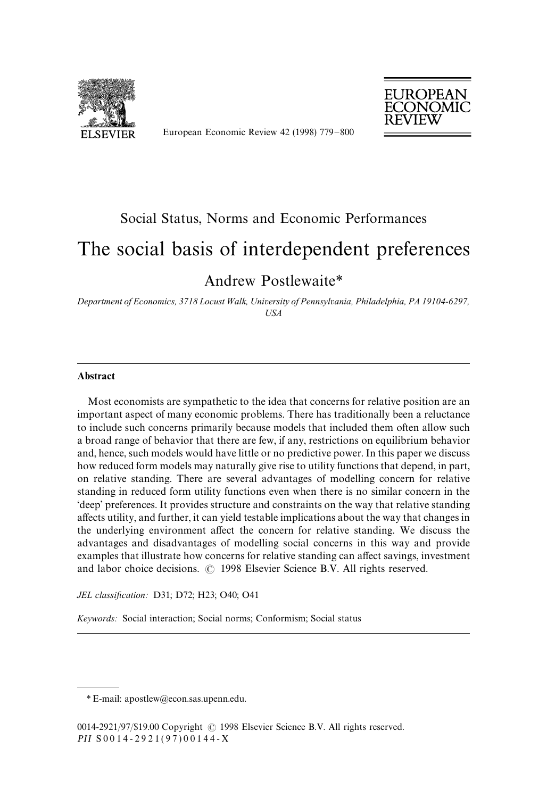

European Economic Review 42 (1998) 779*—*800



# Social Status, Norms and Economic Performances The social basis of interdependent preferences

# Andrew Postlewaite*\**

*Department of Economics, 3718 Locust Walk, University of Pennsylvania, Philadelphia, PA 19104-6297, USA*

### Abstract

Most economists are sympathetic to the idea that concerns for relative position are an important aspect of many economic problems. There has traditionally been a reluctance to include such concerns primarily because models that included them often allow such a broad range of behavior that there are few, if any, restrictions on equilibrium behavior and, hence, such models would have little or no predictive power. In this paper we discuss how reduced form models may naturally give rise to utility functions that depend, in part, on relative standing. There are several advantages of modelling concern for relative standing in reduced form utility functions even when there is no similar concern in the 'deep' preferences. It provides structure and constraints on the way that relative standing affects utility, and further, it can yield testable implications about the way that changes in the underlying environment affect the concern for relative standing. We discuss the advantages and disadvantages of modelling social concerns in this way and provide examples that illustrate how concerns for relative standing can affect savings, investment and labor choice decisions.  $\odot$  1998 Elsevier Science B.V. All rights reserved.

*JEL classification:* D31; D72; H23; O40; O41

*Keywords:* Social interaction; Social norms; Conformism; Social status

*<sup>\*</sup>*E-mail: apostlew@econ.sas.upenn.edu.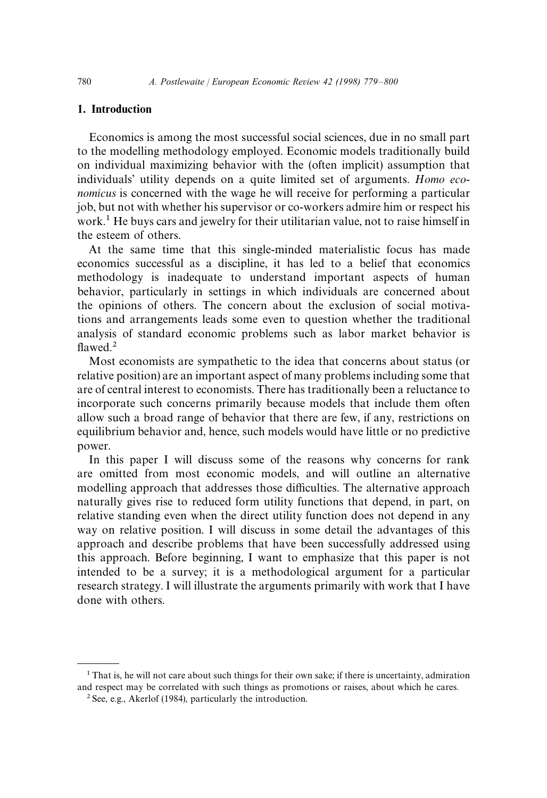#### 1. Introduction

Economics is among the most successful social sciences, due in no small part to the modelling methodology employed. Economic models traditionally build on individual maximizing behavior with the (often implicit) assumption that individuals' utility depends on a quite limited set of arguments. *Homo economicus* is concerned with the wage he will receive for performing a particular job, but not with whether his supervisor or co-workers admire him or respect his work.1 He buys cars and jewelry for their utilitarian value, not to raise himself in the esteem of others.

At the same time that this single-minded materialistic focus has made economics successful as a discipline, it has led to a belief that economics methodology is inadequate to understand important aspects of human behavior, particularly in settings in which individuals are concerned about the opinions of others. The concern about the exclusion of social motivations and arrangements leads some even to question whether the traditional analysis of standard economic problems such as labor market behavior is flawed<sup>2</sup>

Most economists are sympathetic to the idea that concerns about status (or relative position) are an important aspect of many problems including some that are of central interest to economists. There has traditionally been a reluctance to incorporate such concerns primarily because models that include them often allow such a broad range of behavior that there are few, if any, restrictions on equilibrium behavior and, hence, such models would have little or no predictive power.

In this paper I will discuss some of the reasons why concerns for rank are omitted from most economic models, and will outline an alternative modelling approach that addresses those difficulties. The alternative approach naturally gives rise to reduced form utility functions that depend, in part, on relative standing even when the direct utility function does not depend in any way on relative position. I will discuss in some detail the advantages of this approach and describe problems that have been successfully addressed using this approach. Before beginning, I want to emphasize that this paper is not intended to be a survey; it is a methodological argument for a particular research strategy. I will illustrate the arguments primarily with work that I have done with others.

<sup>&</sup>lt;sup>1</sup> That is, he will not care about such things for their own sake; if there is uncertainty, admiration and respect may be correlated with such things as promotions or raises, about which he cares.

<sup>2</sup> See, e.g., Akerlof (1984), particularly the introduction.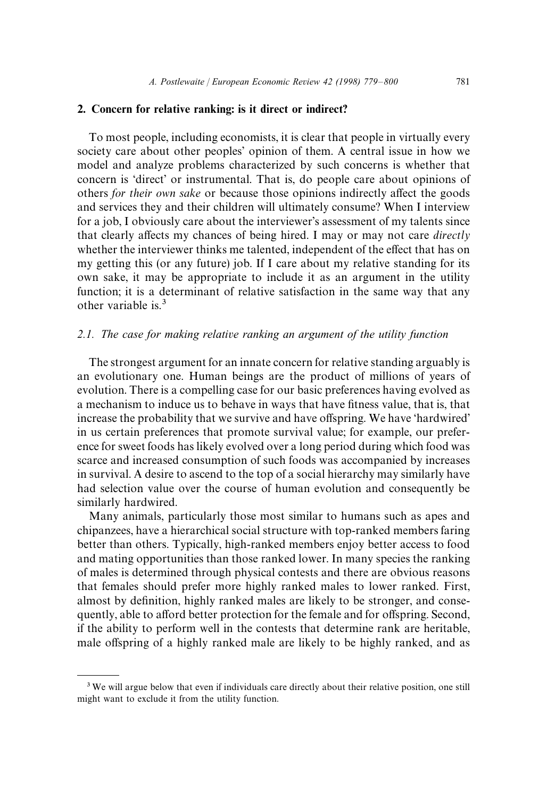#### 2. Concern for relative ranking: is it direct or indirect?

To most people, including economists, it is clear that people in virtually every society care about other peoples' opinion of them. A central issue in how we model and analyze problems characterized by such concerns is whether that concern is 'direct' or instrumental. That is, do people care about opinions of others *for their own sake* or because those opinions indirectly affect the goods and services they and their children will ultimately consume? When I interview for a job, I obviously care about the interviewer's assessment of my talents since that clearly affects my chances of being hired. I may or may not care *directly* whether the interviewer thinks me talented, independent of the effect that has on my getting this (or any future) job. If I care about my relative standing for its own sake, it may be appropriate to include it as an argument in the utility function; it is a determinant of relative satisfaction in the same way that any other variable is.3

# *2.1. The case for making relative ranking an argument of the utility function*

The strongest argument for an innate concern for relative standing arguably is an evolutionary one. Human beings are the product of millions of years of evolution. There is a compelling case for our basic preferences having evolved as a mechanism to induce us to behave in ways that have fitness value, that is, that increase the probability that we survive and have offspring. We have 'hardwired' in us certain preferences that promote survival value; for example, our preference for sweet foods has likely evolved over a long period during which food was scarce and increased consumption of such foods was accompanied by increases in survival. A desire to ascend to the top of a social hierarchy may similarly have had selection value over the course of human evolution and consequently be similarly hardwired.

Many animals, particularly those most similar to humans such as apes and chipanzees, have a hierarchical social structure with top-ranked members faring better than others. Typically, high-ranked members enjoy better access to food and mating opportunities than those ranked lower. In many species the ranking of males is determined through physical contests and there are obvious reasons that females should prefer more highly ranked males to lower ranked. First, almost by definition, highly ranked males are likely to be stronger, and consequently, able to afford better protection for the female and for offspring. Second, if the ability to perform well in the contests that determine rank are heritable, male offspring of a highly ranked male are likely to be highly ranked, and as

<sup>&</sup>lt;sup>3</sup> We will argue below that even if individuals care directly about their relative position, one still might want to exclude it from the utility function.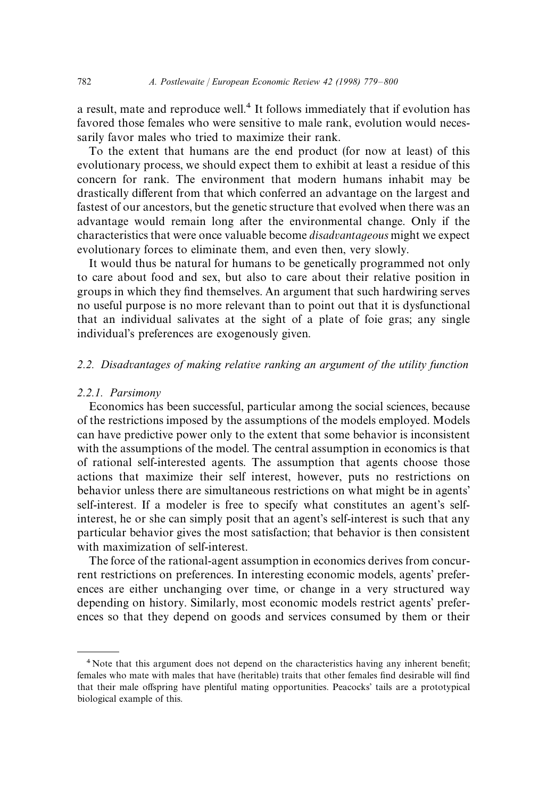a result, mate and reproduce well.<sup>4</sup> It follows immediately that if evolution has favored those females who were sensitive to male rank, evolution would necessarily favor males who tried to maximize their rank.

To the extent that humans are the end product (for now at least) of this evolutionary process, we should expect them to exhibit at least a residue of this concern for rank. The environment that modern humans inhabit may be drastically different from that which conferred an advantage on the largest and fastest of our ancestors, but the genetic structure that evolved when there was an advantage would remain long after the environmental change. Only if the characteristics that were once valuable become *disadvantageous* might we expect evolutionary forces to eliminate them, and even then, very slowly.

It would thus be natural for humans to be genetically programmed not only to care about food and sex, but also to care about their relative position in groups in which they find themselves. An argument that such hardwiring serves no useful purpose is no more relevant than to point out that it is dysfunctional that an individual salivates at the sight of a plate of foie gras; any single individual's preferences are exogenously given.

# *2.2. Disadvantages of making relative ranking an argument of the utility function*

#### *2.2.1. Parsimony*

Economics has been successful, particular among the social sciences, because of the restrictions imposed by the assumptions of the models employed. Models can have predictive power only to the extent that some behavior is inconsistent with the assumptions of the model. The central assumption in economics is that of rational self-interested agents. The assumption that agents choose those actions that maximize their self interest, however, puts no restrictions on behavior unless there are simultaneous restrictions on what might be in agents' self-interest. If a modeler is free to specify what constitutes an agent's selfinterest, he or she can simply posit that an agent's self-interest is such that any particular behavior gives the most satisfaction; that behavior is then consistent with maximization of self-interest.

The force of the rational-agent assumption in economics derives from concurrent restrictions on preferences. In interesting economic models, agents' preferences are either unchanging over time, or change in a very structured way depending on history. Similarly, most economic models restrict agents' preferences so that they depend on goods and services consumed by them or their

<sup>4</sup> Note that this argument does not depend on the characteristics having any inherent benefit; females who mate with males that have (heritable) traits that other females find desirable will find that their male offspring have plentiful mating opportunities. Peacocks' tails are a prototypical biological example of this.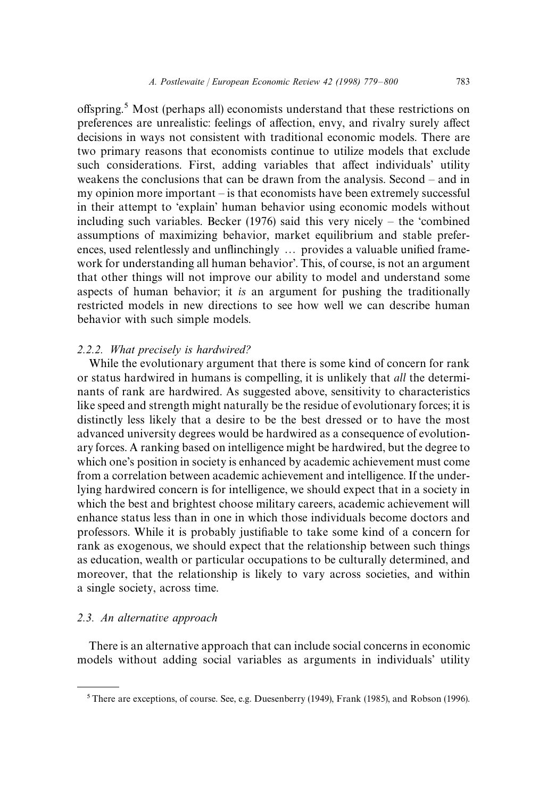offspring.5 Most (perhaps all) economists understand that these restrictions on preferences are unrealistic: feelings of affection, envy, and rivalry surely affect decisions in ways not consistent with traditional economic models. There are two primary reasons that economists continue to utilize models that exclude such considerations. First, adding variables that affect individuals' utility weakens the conclusions that can be drawn from the analysis. Second *—* and in my opinion more important *—* is that economists have been extremely successful in their attempt to 'explain' human behavior using economic models without including such variables. Becker (1976) said this very nicely *—* the 'combined assumptions of maximizing behavior, market equilibrium and stable preferences, used relentlessly and unflinchingly  $\ldots$  provides a valuable unified framework for understanding all human behavior'. This, of course, is not an argument that other things will not improve our ability to model and understand some aspects of human behavior; it *is* an argument for pushing the traditionally restricted models in new directions to see how well we can describe human behavior with such simple models.

#### *2.2.2. What precisely is hardwired?*

While the evolutionary argument that there is some kind of concern for rank or status hardwired in humans is compelling, it is unlikely that *all* the determinants of rank are hardwired. As suggested above, sensitivity to characteristics like speed and strength might naturally be the residue of evolutionary forces; it is distinctly less likely that a desire to be the best dressed or to have the most advanced university degrees would be hardwired as a consequence of evolutionary forces. A ranking based on intelligence might be hardwired, but the degree to which one's position in society is enhanced by academic achievement must come from a correlation between academic achievement and intelligence. If the underlying hardwired concern is for intelligence, we should expect that in a society in which the best and brightest choose military careers, academic achievement will enhance status less than in one in which those individuals become doctors and professors. While it is probably justifiable to take some kind of a concern for rank as exogenous, we should expect that the relationship between such things as education, wealth or particular occupations to be culturally determined, and moreover, that the relationship is likely to vary across societies, and within a single society, across time.

#### *2.3. An alternative approach*

There is an alternative approach that can include social concerns in economic models without adding social variables as arguments in individuals' utility

<sup>5</sup>There are exceptions, of course. See, e.g. Duesenberry (1949), Frank (1985), and Robson (1996).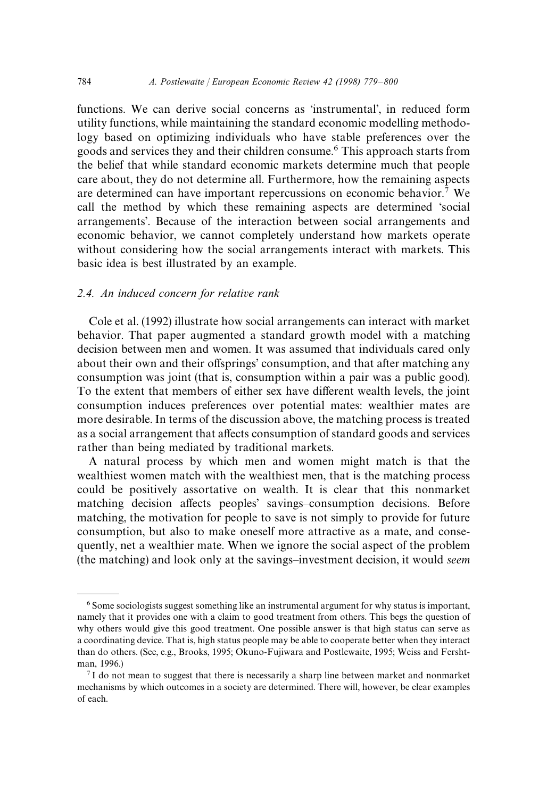functions. We can derive social concerns as 'instrumental', in reduced form utility functions, while maintaining the standard economic modelling methodology based on optimizing individuals who have stable preferences over the goods and services they and their children consume.<sup>6</sup> This approach starts from the belief that while standard economic markets determine much that people care about, they do not determine all. Furthermore, how the remaining aspects are determined can have important repercussions on economic behavior.<sup>7</sup> We call the method by which these remaining aspects are determined 'social arrangements'. Because of the interaction between social arrangements and economic behavior, we cannot completely understand how markets operate without considering how the social arrangements interact with markets. This basic idea is best illustrated by an example.

#### *2.4. An induced concern for relative rank*

Cole et al. (1992) illustrate how social arrangements can interact with market behavior. That paper augmented a standard growth model with a matching decision between men and women. It was assumed that individuals cared only about their own and their offsprings' consumption, and that after matching any consumption was joint (that is, consumption within a pair was a public good). To the extent that members of either sex have different wealth levels, the joint consumption induces preferences over potential mates: wealthier mates are more desirable. In terms of the discussion above, the matching process is treated as a social arrangement that affects consumption of standard goods and services rather than being mediated by traditional markets.

A natural process by which men and women might match is that the wealthiest women match with the wealthiest men, that is the matching process could be positively assortative on wealth. It is clear that this nonmarket matching decision affects peoples' savings*—*consumption decisions. Before matching, the motivation for people to save is not simply to provide for future consumption, but also to make oneself more attractive as a mate, and consequently, net a wealthier mate. When we ignore the social aspect of the problem (the matching) and look only at the savings*—*investment decision, it would *seem*

<sup>6</sup> Some sociologists suggest something like an instrumental argument for why status is important, namely that it provides one with a claim to good treatment from others. This begs the question of why others would give this good treatment. One possible answer is that high status can serve as a coordinating device. That is, high status people may be able to cooperate better when they interact than do others. (See, e.g., Brooks, 1995; Okuno-Fujiwara and Postlewaite, 1995; Weiss and Fershtman, 1996.)

<sup>7</sup> I do not mean to suggest that there is necessarily a sharp line between market and nonmarket mechanisms by which outcomes in a society are determined. There will, however, be clear examples of each.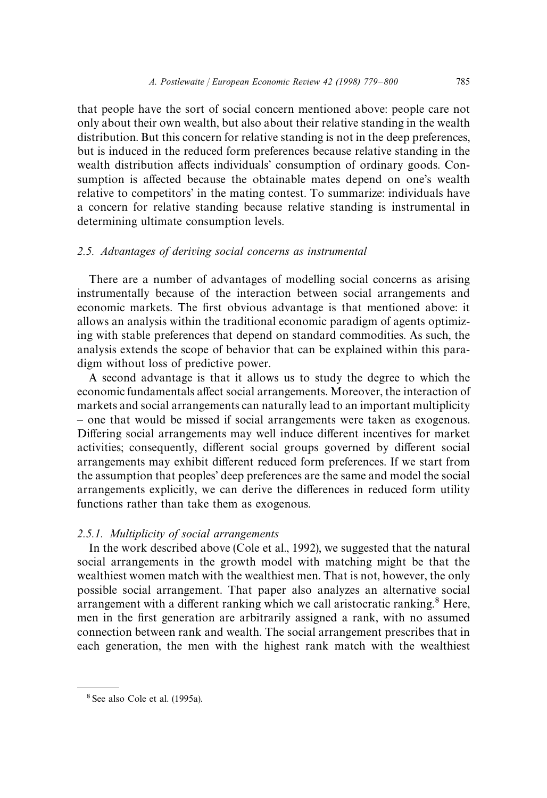that people have the sort of social concern mentioned above: people care not only about their own wealth, but also about their relative standing in the wealth distribution. But this concern for relative standing is not in the deep preferences, but is induced in the reduced form preferences because relative standing in the wealth distribution affects individuals' consumption of ordinary goods. Consumption is affected because the obtainable mates depend on one's wealth relative to competitors' in the mating contest. To summarize: individuals have a concern for relative standing because relative standing is instrumental in determining ultimate consumption levels.

#### *2.5. Advantages of deriving social concerns as instrumental*

There are a number of advantages of modelling social concerns as arising instrumentally because of the interaction between social arrangements and economic markets. The first obvious advantage is that mentioned above: it allows an analysis within the traditional economic paradigm of agents optimizing with stable preferences that depend on standard commodities. As such, the analysis extends the scope of behavior that can be explained within this paradigm without loss of predictive power.

A second advantage is that it allows us to study the degree to which the economic fundamentals affect social arrangements. Moreover, the interaction of markets and social arrangements can naturally lead to an important multiplicity *—* one that would be missed if social arrangements were taken as exogenous. Differing social arrangements may well induce different incentives for market activities; consequently, different social groups governed by different social arrangements may exhibit different reduced form preferences. If we start from the assumption that peoples' deep preferences are the same and model the social arrangements explicitly, we can derive the differences in reduced form utility functions rather than take them as exogenous.

#### *2.5.1. Multiplicity of social arrangements*

In the work described above (Cole et al., 1992), we suggested that the natural social arrangements in the growth model with matching might be that the wealthiest women match with the wealthiest men. That is not, however, the only possible social arrangement. That paper also analyzes an alternative social arrangement with a different ranking which we call aristocratic ranking.<sup>8</sup> Here, men in the first generation are arbitrarily assigned a rank, with no assumed connection between rank and wealth. The social arrangement prescribes that in each generation, the men with the highest rank match with the wealthiest

<sup>8</sup> See also Cole et al. (1995a).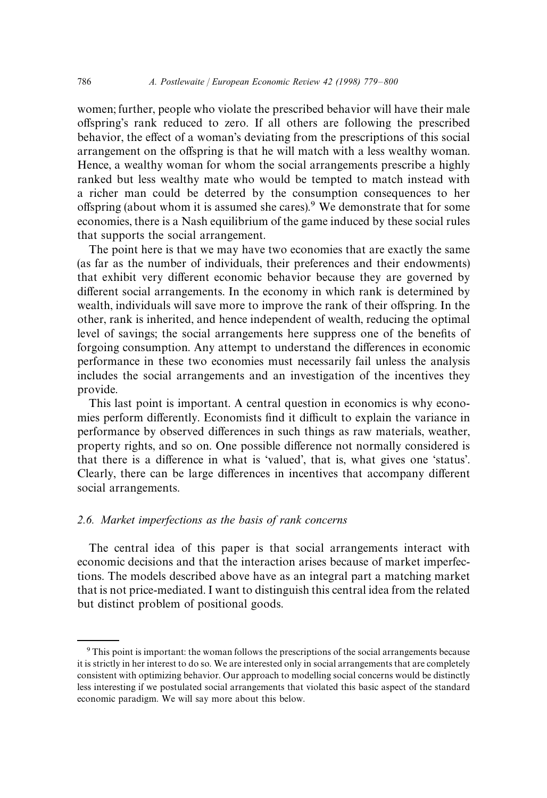women; further, people who violate the prescribed behavior will have their male offspring's rank reduced to zero. If all others are following the prescribed behavior, the effect of a woman's deviating from the prescriptions of this social arrangement on the offspring is that he will match with a less wealthy woman. Hence, a wealthy woman for whom the social arrangements prescribe a highly ranked but less wealthy mate who would be tempted to match instead with a richer man could be deterred by the consumption consequences to her offspring (about whom it is assumed she cares).<sup>9</sup> We demonstrate that for some economies, there is a Nash equilibrium of the game induced by these social rules that supports the social arrangement.

The point here is that we may have two economies that are exactly the same (as far as the number of individuals, their preferences and their endowments) that exhibit very different economic behavior because they are governed by different social arrangements. In the economy in which rank is determined by wealth, individuals will save more to improve the rank of their offspring. In the other, rank is inherited, and hence independent of wealth, reducing the optimal level of savings; the social arrangements here suppress one of the benefits of forgoing consumption. Any attempt to understand the differences in economic performance in these two economies must necessarily fail unless the analysis includes the social arrangements and an investigation of the incentives they provide.

This last point is important. A central question in economics is why economies perform differently. Economists find it difficult to explain the variance in performance by observed differences in such things as raw materials, weather, property rights, and so on. One possible difference not normally considered is that there is a difference in what is 'valued', that is, what gives one 'status'. Clearly, there can be large differences in incentives that accompany different social arrangements.

#### *2.6. Market imperfections as the basis of rank concerns*

The central idea of this paper is that social arrangements interact with economic decisions and that the interaction arises because of market imperfections. The models described above have as an integral part a matching market that is not price-mediated. I want to distinguish this central idea from the related but distinct problem of positional goods.

<sup>9</sup>This point is important: the woman follows the prescriptions of the social arrangements because it is strictly in her interest to do so. We are interested only in social arrangements that are completely consistent with optimizing behavior. Our approach to modelling social concerns would be distinctly less interesting if we postulated social arrangements that violated this basic aspect of the standard economic paradigm. We will say more about this below.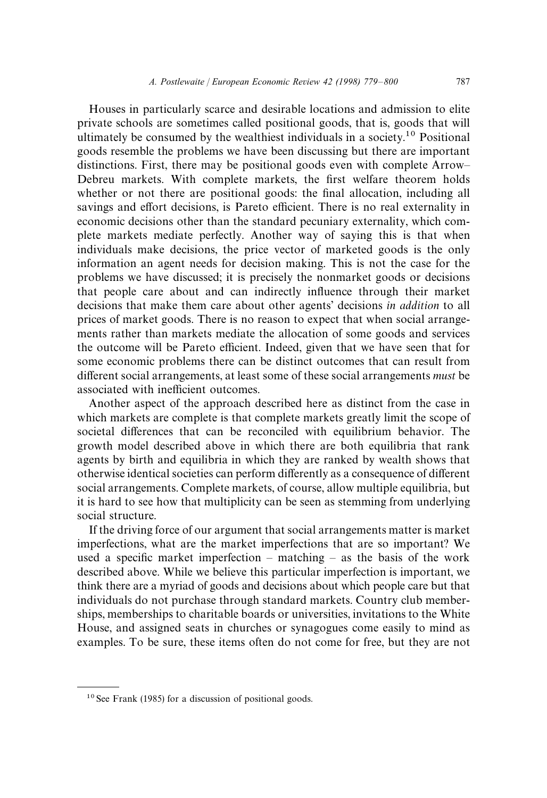Houses in particularly scarce and desirable locations and admission to elite private schools are sometimes called positional goods, that is, goods that will ultimately be consumed by the wealthiest individuals in a society.<sup>10</sup> Positional goods resemble the problems we have been discussing but there are important distinctions. First, there may be positional goods even with complete Arrow*—* Debreu markets. With complete markets, the first welfare theorem holds whether or not there are positional goods: the final allocation, including all savings and effort decisions, is Pareto efficient. There is no real externality in economic decisions other than the standard pecuniary externality, which complete markets mediate perfectly. Another way of saying this is that when individuals make decisions, the price vector of marketed goods is the only information an agent needs for decision making. This is not the case for the problems we have discussed; it is precisely the nonmarket goods or decisions that people care about and can indirectly influence through their market decisions that make them care about other agents' decisions *in addition* to all prices of market goods. There is no reason to expect that when social arrangements rather than markets mediate the allocation of some goods and services the outcome will be Pareto efficient. Indeed, given that we have seen that for some economic problems there can be distinct outcomes that can result from different social arrangements, at least some of these social arrangements *must* be associated with inefficient outcomes.

Another aspect of the approach described here as distinct from the case in which markets are complete is that complete markets greatly limit the scope of societal differences that can be reconciled with equilibrium behavior. The growth model described above in which there are both equilibria that rank agents by birth and equilibria in which they are ranked by wealth shows that otherwise identical societies can perform differently as a consequence of different social arrangements. Complete markets, of course, allow multiple equilibria, but it is hard to see how that multiplicity can be seen as stemming from underlying social structure.

If the driving force of our argument that social arrangements matter is market imperfections, what are the market imperfections that are so important? We used a specific market imperfection *—* matching *—* as the basis of the work described above. While we believe this particular imperfection is important, we think there are a myriad of goods and decisions about which people care but that individuals do not purchase through standard markets. Country club memberships, memberships to charitable boards or universities, invitations to the White House, and assigned seats in churches or synagogues come easily to mind as examples. To be sure, these items often do not come for free, but they are not

<sup>10</sup> See Frank (1985) for a discussion of positional goods.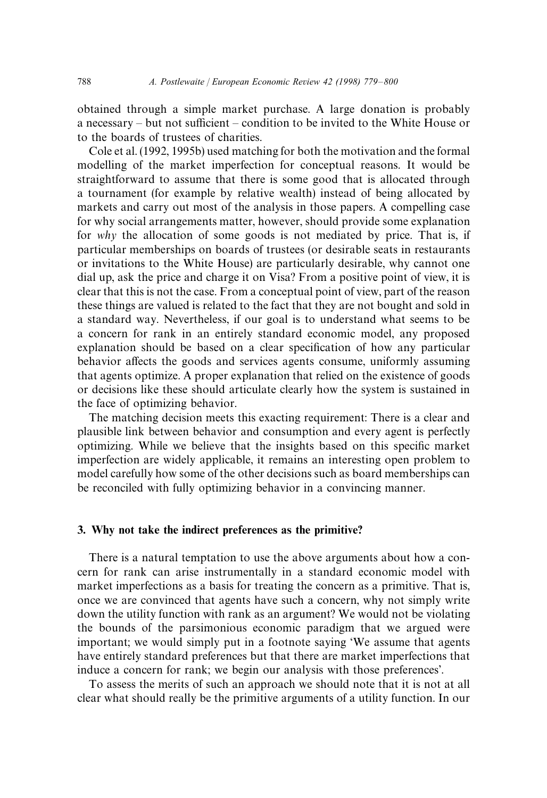obtained through a simple market purchase. A large donation is probably a necessary *—* but not sufficient *—* condition to be invited to the White House or to the boards of trustees of charities.

Cole et al. (1992, 1995b) used matching for both the motivation and the formal modelling of the market imperfection for conceptual reasons. It would be straightforward to assume that there is some good that is allocated through a tournament (for example by relative wealth) instead of being allocated by markets and carry out most of the analysis in those papers. A compelling case for why social arrangements matter, however, should provide some explanation for *why* the allocation of some goods is not mediated by price. That is, if particular memberships on boards of trustees (or desirable seats in restaurants or invitations to the White House) are particularly desirable, why cannot one dial up, ask the price and charge it on Visa? From a positive point of view, it is clear that this is not the case. From a conceptual point of view, part of the reason these things are valued is related to the fact that they are not bought and sold in a standard way. Nevertheless, if our goal is to understand what seems to be a concern for rank in an entirely standard economic model, any proposed explanation should be based on a clear specification of how any particular behavior affects the goods and services agents consume, uniformly assuming that agents optimize. A proper explanation that relied on the existence of goods or decisions like these should articulate clearly how the system is sustained in the face of optimizing behavior.

The matching decision meets this exacting requirement: There is a clear and plausible link between behavior and consumption and every agent is perfectly optimizing. While we believe that the insights based on this specific market imperfection are widely applicable, it remains an interesting open problem to model carefully how some of the other decisions such as board memberships can be reconciled with fully optimizing behavior in a convincing manner.

#### 3. Why not take the indirect preferences as the primitive?

There is a natural temptation to use the above arguments about how a concern for rank can arise instrumentally in a standard economic model with market imperfections as a basis for treating the concern as a primitive. That is, once we are convinced that agents have such a concern, why not simply write down the utility function with rank as an argument? We would not be violating the bounds of the parsimonious economic paradigm that we argued were important; we would simply put in a footnote saying 'We assume that agents have entirely standard preferences but that there are market imperfections that induce a concern for rank; we begin our analysis with those preferences'.

To assess the merits of such an approach we should note that it is not at all clear what should really be the primitive arguments of a utility function. In our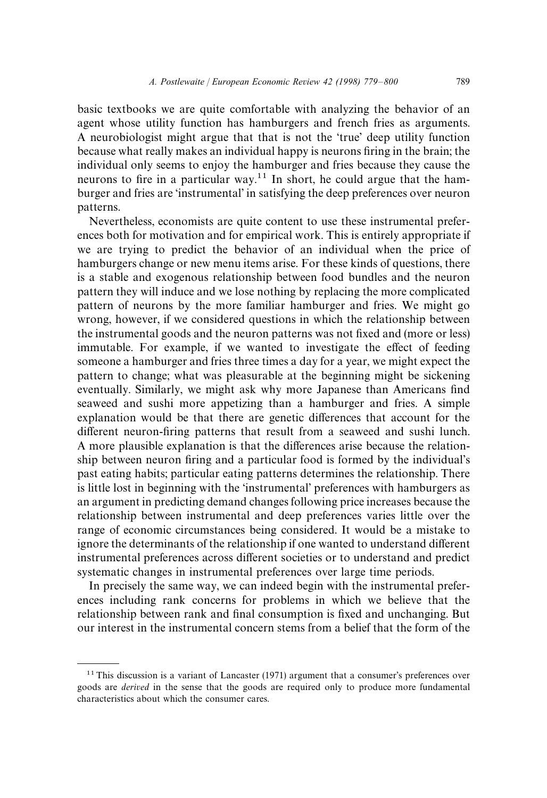basic textbooks we are quite comfortable with analyzing the behavior of an agent whose utility function has hamburgers and french fries as arguments. A neurobiologist might argue that that is not the 'true' deep utility function because what really makes an individual happy is neurons firing in the brain; the individual only seems to enjoy the hamburger and fries because they cause the neurons to fire in a particular way.<sup>11</sup> In short, he could argue that the hamburger and fries are 'instrumental' in satisfying the deep preferences over neuron patterns.

Nevertheless, economists are quite content to use these instrumental preferences both for motivation and for empirical work. This is entirely appropriate if we are trying to predict the behavior of an individual when the price of hamburgers change or new menu items arise. For these kinds of questions, there is a stable and exogenous relationship between food bundles and the neuron pattern they will induce and we lose nothing by replacing the more complicated pattern of neurons by the more familiar hamburger and fries. We might go wrong, however, if we considered questions in which the relationship between the instrumental goods and the neuron patterns was not fixed and (more or less) immutable. For example, if we wanted to investigate the effect of feeding someone a hamburger and fries three times a day for a year, we might expect the pattern to change; what was pleasurable at the beginning might be sickening eventually. Similarly, we might ask why more Japanese than Americans find seaweed and sushi more appetizing than a hamburger and fries. A simple explanation would be that there are genetic differences that account for the different neuron-firing patterns that result from a seaweed and sushi lunch. A more plausible explanation is that the differences arise because the relationship between neuron firing and a particular food is formed by the individual's past eating habits; particular eating patterns determines the relationship. There is little lost in beginning with the 'instrumental' preferences with hamburgers as an argument in predicting demand changes following price increases because the relationship between instrumental and deep preferences varies little over the range of economic circumstances being considered. It would be a mistake to ignore the determinants of the relationship if one wanted to understand different instrumental preferences across different societies or to understand and predict systematic changes in instrumental preferences over large time periods.

In precisely the same way, we can indeed begin with the instrumental preferences including rank concerns for problems in which we believe that the relationship between rank and final consumption is fixed and unchanging. But our interest in the instrumental concern stems from a belief that the form of the

 $11$ This discussion is a variant of Lancaster (1971) argument that a consumer's preferences over goods are *derived* in the sense that the goods are required only to produce more fundamental characteristics about which the consumer cares.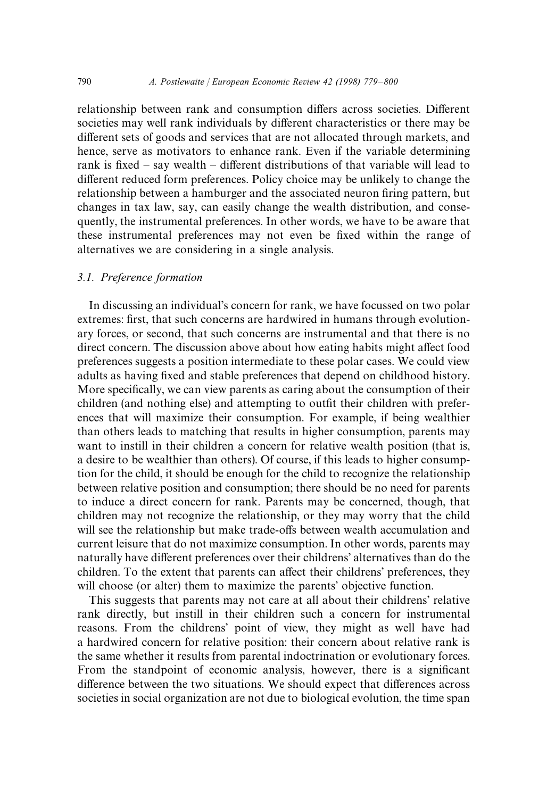relationship between rank and consumption differs across societies. Different societies may well rank individuals by different characteristics or there may be different sets of goods and services that are not allocated through markets, and hence, serve as motivators to enhance rank. Even if the variable determining rank is fixed *—* say wealth *—* different distributions of that variable will lead to different reduced form preferences. Policy choice may be unlikely to change the relationship between a hamburger and the associated neuron firing pattern, but changes in tax law, say, can easily change the wealth distribution, and consequently, the instrumental preferences. In other words, we have to be aware that these instrumental preferences may not even be fixed within the range of alternatives we are considering in a single analysis.

#### *3.1. Preference formation*

In discussing an individual's concern for rank, we have focussed on two polar extremes: first, that such concerns are hardwired in humans through evolutionary forces, or second, that such concerns are instrumental and that there is no direct concern. The discussion above about how eating habits might affect food preferences suggests a position intermediate to these polar cases. We could view adults as having fixed and stable preferences that depend on childhood history. More specifically, we can view parents as caring about the consumption of their children (and nothing else) and attempting to outfit their children with preferences that will maximize their consumption. For example, if being wealthier than others leads to matching that results in higher consumption, parents may want to instill in their children a concern for relative wealth position (that is, a desire to be wealthier than others). Of course, if this leads to higher consumption for the child, it should be enough for the child to recognize the relationship between relative position and consumption; there should be no need for parents to induce a direct concern for rank. Parents may be concerned, though, that children may not recognize the relationship, or they may worry that the child will see the relationship but make trade-offs between wealth accumulation and current leisure that do not maximize consumption. In other words, parents may naturally have different preferences over their childrens' alternatives than do the children. To the extent that parents can affect their childrens' preferences, they will choose (or alter) them to maximize the parents' objective function.

This suggests that parents may not care at all about their childrens' relative rank directly, but instill in their children such a concern for instrumental reasons. From the childrens' point of view, they might as well have had a hardwired concern for relative position: their concern about relative rank is the same whether it results from parental indoctrination or evolutionary forces. From the standpoint of economic analysis, however, there is a significant difference between the two situations. We should expect that differences across societies in social organization are not due to biological evolution, the time span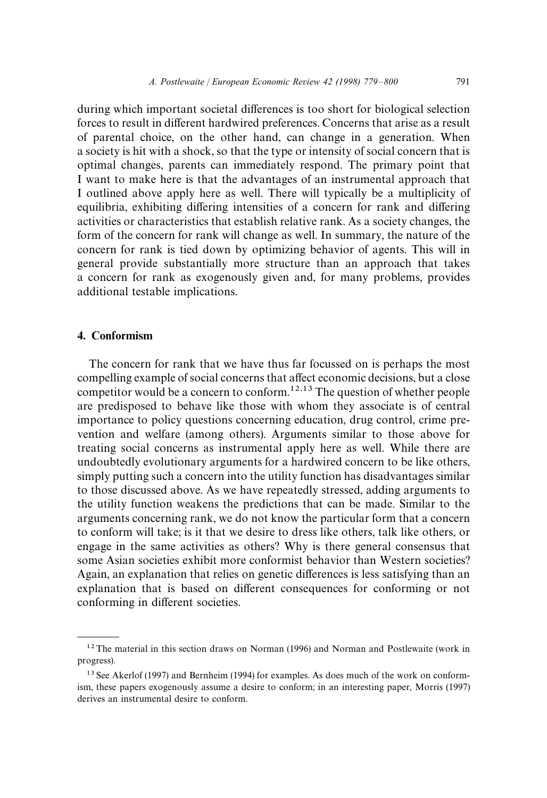during which important societal differences is too short for biological selection forces to result in different hardwired preferences. Concerns that arise as a result of parental choice, on the other hand, can change in a generation. When a society is hit with a shock, so that the type or intensity of social concern that is optimal changes, parents can immediately respond. The primary point that I want to make here is that the advantages of an instrumental approach that I outlined above apply here as well. There will typically be a multiplicity of equilibria, exhibiting differing intensities of a concern for rank and differing activities or characteristics that establish relative rank. As a society changes, the form of the concern for rank will change as well. In summary, the nature of the concern for rank is tied down by optimizing behavior of agents. This will in general provide substantially more structure than an approach that takes a concern for rank as exogenously given and, for many problems, provides additional testable implications.

#### 4. Conformism

The concern for rank that we have thus far focussed on is perhaps the most compelling example of social concerns that affect economic decisions, but a close competitor would be a concern to conform.<sup>12,13</sup> The question of whether people are predisposed to behave like those with whom they associate is of central importance to policy questions concerning education, drug control, crime prevention and welfare (among others). Arguments similar to those above for treating social concerns as instrumental apply here as well. While there are undoubtedly evolutionary arguments for a hardwired concern to be like others, simply putting such a concern into the utility function has disadvantages similar to those discussed above. As we have repeatedly stressed, adding arguments to the utility function weakens the predictions that can be made. Similar to the arguments concerning rank, we do not know the particular form that a concern to conform will take; is it that we desire to dress like others, talk like others, or engage in the same activities as others? Why is there general consensus that some Asian societies exhibit more conformist behavior than Western societies? Again, an explanation that relies on genetic differences is less satisfying than an explanation that is based on different consequences for conforming or not conforming in different societies.

 $12$ <sup>12</sup> The material in this section draws on Norman (1996) and Norman and Postlewaite (work in progress).

<sup>&</sup>lt;sup>13</sup> See Akerlof (1997) and Bernheim (1994) for examples. As does much of the work on conformism, these papers exogenously assume a desire to conform; in an interesting paper, Morris (1997) derives an instrumental desire to conform.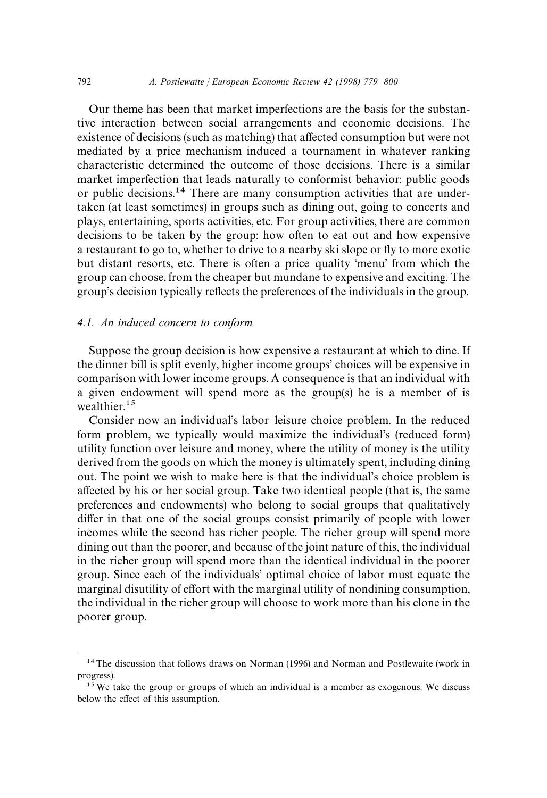Our theme has been that market imperfections are the basis for the substantive interaction between social arrangements and economic decisions. The existence of decisions (such as matching) that affected consumption but were not mediated by a price mechanism induced a tournament in whatever ranking characteristic determined the outcome of those decisions. There is a similar market imperfection that leads naturally to conformist behavior: public goods or public decisions.14 There are many consumption activities that are undertaken (at least sometimes) in groups such as dining out, going to concerts and plays, entertaining, sports activities, etc. For group activities, there are common decisions to be taken by the group: how often to eat out and how expensive a restaurant to go to, whether to drive to a nearby ski slope or fly to more exotic but distant resorts, etc. There is often a price*—*quality 'menu' from which the group can choose, from the cheaper but mundane to expensive and exciting. The group's decision typically reflects the preferences of the individuals in the group.

#### *4.1. An induced concern to conform*

Suppose the group decision is how expensive a restaurant at which to dine. If the dinner bill is split evenly, higher income groups' choices will be expensive in comparison with lower income groups. A consequence is that an individual with a given endowment will spend more as the group(s) he is a member of is wealthier.15

Consider now an individual's labor*—*leisure choice problem. In the reduced form problem, we typically would maximize the individual's (reduced form) utility function over leisure and money, where the utility of money is the utility derived from the goods on which the money is ultimately spent, including dining out. The point we wish to make here is that the individual's choice problem is affected by his or her social group. Take two identical people (that is, the same preferences and endowments) who belong to social groups that qualitatively differ in that one of the social groups consist primarily of people with lower incomes while the second has richer people. The richer group will spend more dining out than the poorer, and because of the joint nature of this, the individual in the richer group will spend more than the identical individual in the poorer group. Since each of the individuals' optimal choice of labor must equate the marginal disutility of effort with the marginal utility of nondining consumption, the individual in the richer group will choose to work more than his clone in the poorer group.

<sup>&</sup>lt;sup>14</sup> The discussion that follows draws on Norman (1996) and Norman and Postlewaite (work in progress).

 $15$  We take the group or groups of which an individual is a member as exogenous. We discuss below the effect of this assumption.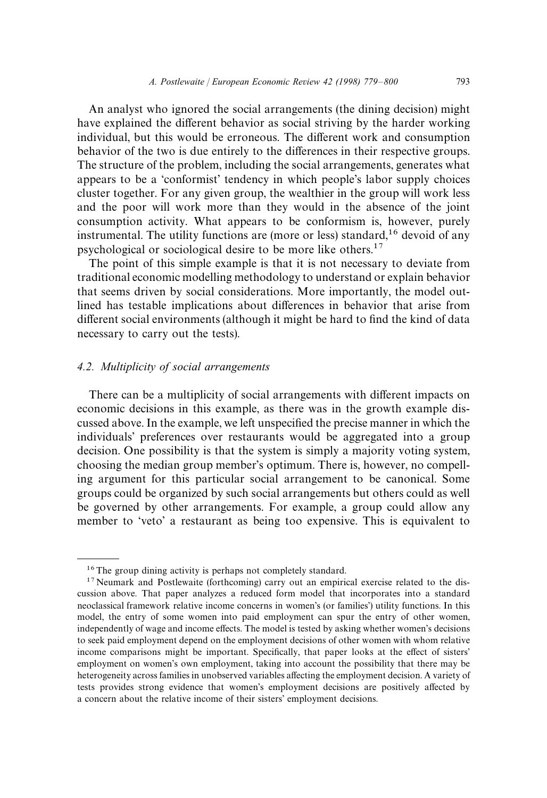An analyst who ignored the social arrangements (the dining decision) might have explained the different behavior as social striving by the harder working individual, but this would be erroneous. The different work and consumption behavior of the two is due entirely to the differences in their respective groups. The structure of the problem, including the social arrangements, generates what appears to be a 'conformist' tendency in which people's labor supply choices cluster together. For any given group, the wealthier in the group will work less and the poor will work more than they would in the absence of the joint consumption activity. What appears to be conformism is, however, purely instrumental. The utility functions are (more or less) standard,  $1<sup>6</sup>$  devoid of any psychological or sociological desire to be more like others.17

The point of this simple example is that it is not necessary to deviate from traditional economic modelling methodology to understand or explain behavior that seems driven by social considerations. More importantly, the model outlined has testable implications about differences in behavior that arise from different social environments (although it might be hard to find the kind of data necessary to carry out the tests).

# *4.2. Multiplicity of social arrangements*

There can be a multiplicity of social arrangements with different impacts on economic decisions in this example, as there was in the growth example discussed above. In the example, we left unspecified the precise manner in which the individuals' preferences over restaurants would be aggregated into a group decision. One possibility is that the system is simply a majority voting system, choosing the median group member's optimum. There is, however, no compelling argument for this particular social arrangement to be canonical. Some groups could be organized by such social arrangements but others could as well be governed by other arrangements. For example, a group could allow any member to 'veto' a restaurant as being too expensive. This is equivalent to

<sup>&</sup>lt;sup>16</sup>The group dining activity is perhaps not completely standard.

<sup>&</sup>lt;sup>17</sup> Neumark and Postlewaite (forthcoming) carry out an empirical exercise related to the discussion above. That paper analyzes a reduced form model that incorporates into a standard neoclassical framework relative income concerns in women's (or families') utility functions. In this model, the entry of some women into paid employment can spur the entry of other women, independently of wage and income effects. The model is tested by asking whether women's decisions to seek paid employment depend on the employment decisions of other women with whom relative income comparisons might be important. Specifically, that paper looks at the effect of sisters' employment on women's own employment, taking into account the possibility that there may be heterogeneity across families in unobserved variables affecting the employment decision. A variety of tests provides strong evidence that women's employment decisions are positively affected by a concern about the relative income of their sisters' employment decisions.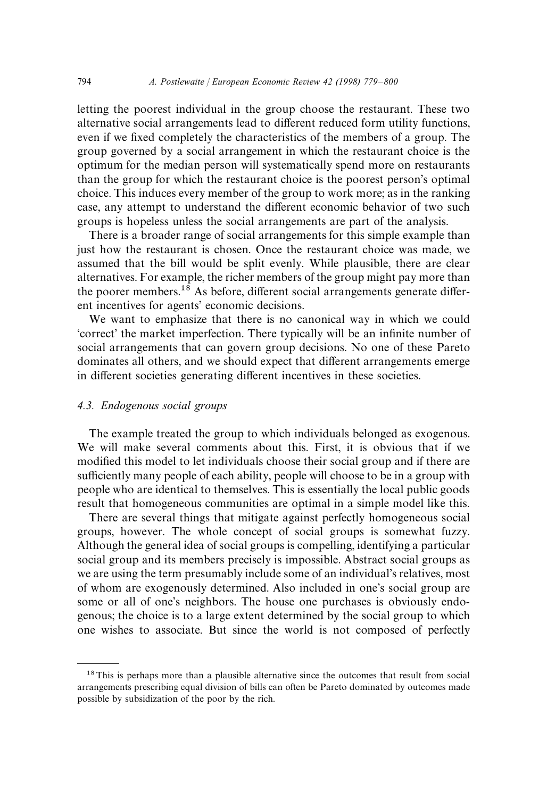letting the poorest individual in the group choose the restaurant. These two alternative social arrangements lead to different reduced form utility functions, even if we fixed completely the characteristics of the members of a group. The group governed by a social arrangement in which the restaurant choice is the optimum for the median person will systematically spend more on restaurants than the group for which the restaurant choice is the poorest person's optimal choice. This induces every member of the group to work more; as in the ranking case, any attempt to understand the different economic behavior of two such groups is hopeless unless the social arrangements are part of the analysis.

There is a broader range of social arrangements for this simple example than just how the restaurant is chosen. Once the restaurant choice was made, we assumed that the bill would be split evenly. While plausible, there are clear alternatives. For example, the richer members of the group might pay more than the poorer members.<sup>18</sup> As before, different social arrangements generate different incentives for agents' economic decisions.

We want to emphasize that there is no canonical way in which we could 'correct' the market imperfection. There typically will be an infinite number of social arrangements that can govern group decisions. No one of these Pareto dominates all others, and we should expect that different arrangements emerge in different societies generating different incentives in these societies.

#### *4.3. Endogenous social groups*

The example treated the group to which individuals belonged as exogenous. We will make several comments about this. First, it is obvious that if we modified this model to let individuals choose their social group and if there are sufficiently many people of each ability, people will choose to be in a group with people who are identical to themselves. This is essentially the local public goods result that homogeneous communities are optimal in a simple model like this.

There are several things that mitigate against perfectly homogeneous social groups, however. The whole concept of social groups is somewhat fuzzy. Although the general idea of social groups is compelling, identifying a particular social group and its members precisely is impossible. Abstract social groups as we are using the term presumably include some of an individual's relatives, most of whom are exogenously determined. Also included in one's social group are some or all of one's neighbors. The house one purchases is obviously endogenous; the choice is to a large extent determined by the social group to which one wishes to associate. But since the world is not composed of perfectly

<sup>&</sup>lt;sup>18</sup>This is perhaps more than a plausible alternative since the outcomes that result from social arrangements prescribing equal division of bills can often be Pareto dominated by outcomes made possible by subsidization of the poor by the rich.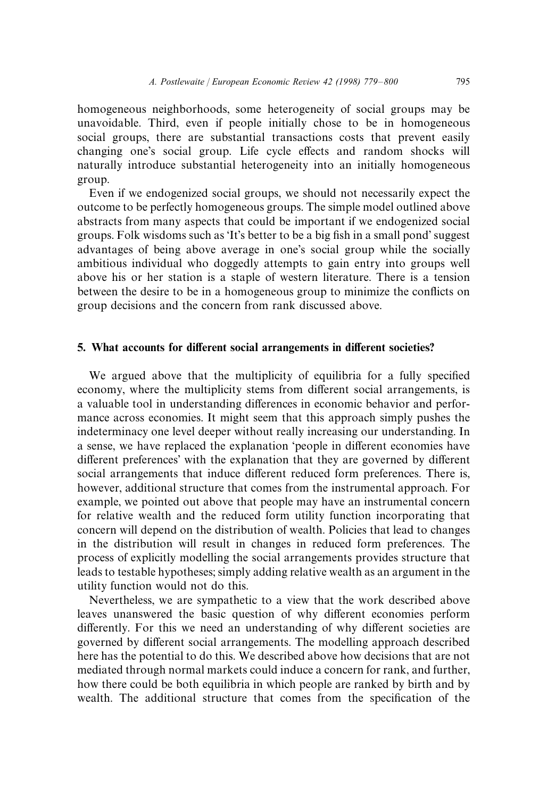homogeneous neighborhoods, some heterogeneity of social groups may be unavoidable. Third, even if people initially chose to be in homogeneous social groups, there are substantial transactions costs that prevent easily changing one's social group. Life cycle effects and random shocks will naturally introduce substantial heterogeneity into an initially homogeneous group.

Even if we endogenized social groups, we should not necessarily expect the outcome to be perfectly homogeneous groups. The simple model outlined above abstracts from many aspects that could be important if we endogenized social groups. Folk wisdoms such as 'It's better to be a big fish in a small pond' suggest advantages of being above average in one's social group while the socially ambitious individual who doggedly attempts to gain entry into groups well above his or her station is a staple of western literature. There is a tension between the desire to be in a homogeneous group to minimize the conflicts on group decisions and the concern from rank discussed above.

# 5. What accounts for different social arrangements in different societies?

We argued above that the multiplicity of equilibria for a fully specified economy, where the multiplicity stems from different social arrangements, is a valuable tool in understanding differences in economic behavior and performance across economies. It might seem that this approach simply pushes the indeterminacy one level deeper without really increasing our understanding. In a sense, we have replaced the explanation 'people in different economies have different preferences' with the explanation that they are governed by different social arrangements that induce different reduced form preferences. There is, however, additional structure that comes from the instrumental approach. For example, we pointed out above that people may have an instrumental concern for relative wealth and the reduced form utility function incorporating that concern will depend on the distribution of wealth. Policies that lead to changes in the distribution will result in changes in reduced form preferences. The process of explicitly modelling the social arrangements provides structure that leads to testable hypotheses; simply adding relative wealth as an argument in the utility function would not do this.

Nevertheless, we are sympathetic to a view that the work described above leaves unanswered the basic question of why different economies perform differently. For this we need an understanding of why different societies are governed by different social arrangements. The modelling approach described here has the potential to do this. We described above how decisions that are not mediated through normal markets could induce a concern for rank, and further, how there could be both equilibria in which people are ranked by birth and by wealth. The additional structure that comes from the specification of the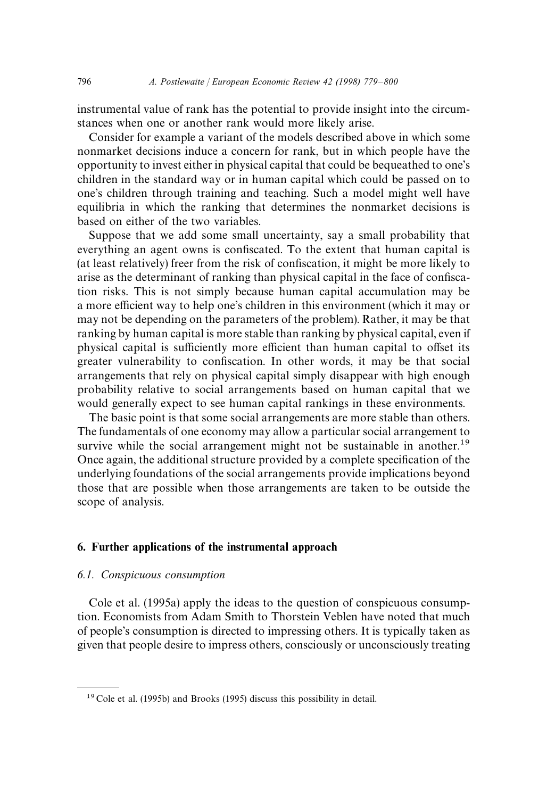instrumental value of rank has the potential to provide insight into the circumstances when one or another rank would more likely arise.

Consider for example a variant of the models described above in which some nonmarket decisions induce a concern for rank, but in which people have the opportunity to invest either in physical capital that could be bequeathed to one's children in the standard way or in human capital which could be passed on to one's children through training and teaching. Such a model might well have equilibria in which the ranking that determines the nonmarket decisions is based on either of the two variables.

Suppose that we add some small uncertainty, say a small probability that everything an agent owns is confiscated. To the extent that human capital is (at least relatively) freer from the risk of confiscation, it might be more likely to arise as the determinant of ranking than physical capital in the face of confiscation risks. This is not simply because human capital accumulation may be a more efficient way to help one's children in this environment (which it may or may not be depending on the parameters of the problem). Rather, it may be that ranking by human capital is more stable than ranking by physical capital, even if physical capital is sufficiently more efficient than human capital to offset its greater vulnerability to confiscation. In other words, it may be that social arrangements that rely on physical capital simply disappear with high enough probability relative to social arrangements based on human capital that we would generally expect to see human capital rankings in these environments.

The basic point is that some social arrangements are more stable than others. The fundamentals of one economy may allow a particular social arrangement to survive while the social arrangement might not be sustainable in another.<sup>19</sup> Once again, the additional structure provided by a complete specification of the underlying foundations of the social arrangements provide implications beyond those that are possible when those arrangements are taken to be outside the scope of analysis.

# 6. Further applications of the instrumental approach

#### *6.1. Conspicuous consumption*

Cole et al. (1995a) apply the ideas to the question of conspicuous consumption. Economists from Adam Smith to Thorstein Veblen have noted that much of people's consumption is directed to impressing others. It is typically taken as given that people desire to impress others, consciously or unconsciously treating

<sup>19</sup> Cole et al. (1995b) and Brooks (1995) discuss this possibility in detail.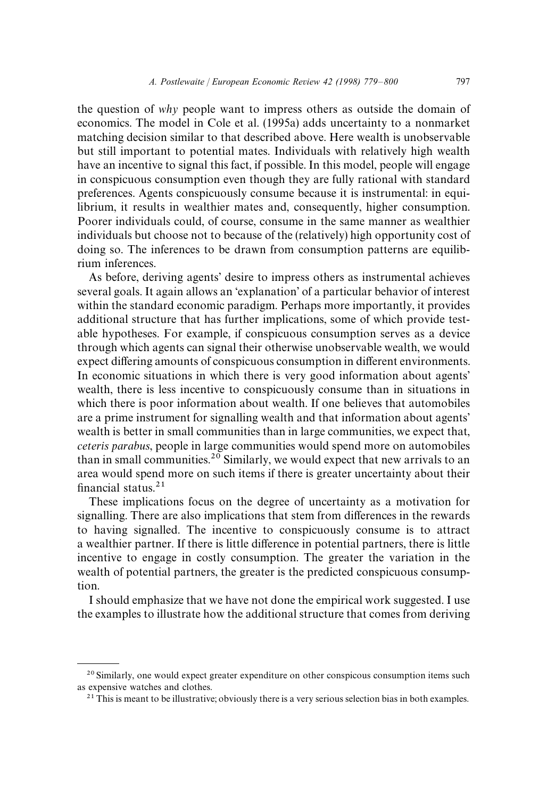the question of *why* people want to impress others as outside the domain of economics. The model in Cole et al. (1995a) adds uncertainty to a nonmarket matching decision similar to that described above. Here wealth is unobservable but still important to potential mates. Individuals with relatively high wealth have an incentive to signal this fact, if possible. In this model, people will engage in conspicuous consumption even though they are fully rational with standard preferences. Agents conspicuously consume because it is instrumental: in equilibrium, it results in wealthier mates and, consequently, higher consumption. Poorer individuals could, of course, consume in the same manner as wealthier individuals but choose not to because of the (relatively) high opportunity cost of doing so. The inferences to be drawn from consumption patterns are equilibrium inferences.

As before, deriving agents' desire to impress others as instrumental achieves several goals. It again allows an 'explanation' of a particular behavior of interest within the standard economic paradigm. Perhaps more importantly, it provides additional structure that has further implications, some of which provide testable hypotheses. For example, if conspicuous consumption serves as a device through which agents can signal their otherwise unobservable wealth, we would expect differing amounts of conspicuous consumption in different environments. In economic situations in which there is very good information about agents' wealth, there is less incentive to conspicuously consume than in situations in which there is poor information about wealth. If one believes that automobiles are a prime instrument for signalling wealth and that information about agents' wealth is better in small communities than in large communities, we expect that, *ceteris parabus*, people in large communities would spend more on automobiles than in small communities.<sup>20</sup> Similarly, we would expect that new arrivals to an area would spend more on such items if there is greater uncertainty about their financial status.21

These implications focus on the degree of uncertainty as a motivation for signalling. There are also implications that stem from differences in the rewards to having signalled. The incentive to conspicuously consume is to attract a wealthier partner. If there is little difference in potential partners, there is little incentive to engage in costly consumption. The greater the variation in the wealth of potential partners, the greater is the predicted conspicuous consumption.

I should emphasize that we have not done the empirical work suggested. I use the examples to illustrate how the additional structure that comes from deriving

<sup>&</sup>lt;sup>20</sup> Similarly, one would expect greater expenditure on other conspicous consumption items such as expensive watches and clothes.

 $21$  This is meant to be illustrative; obviously there is a very serious selection bias in both examples.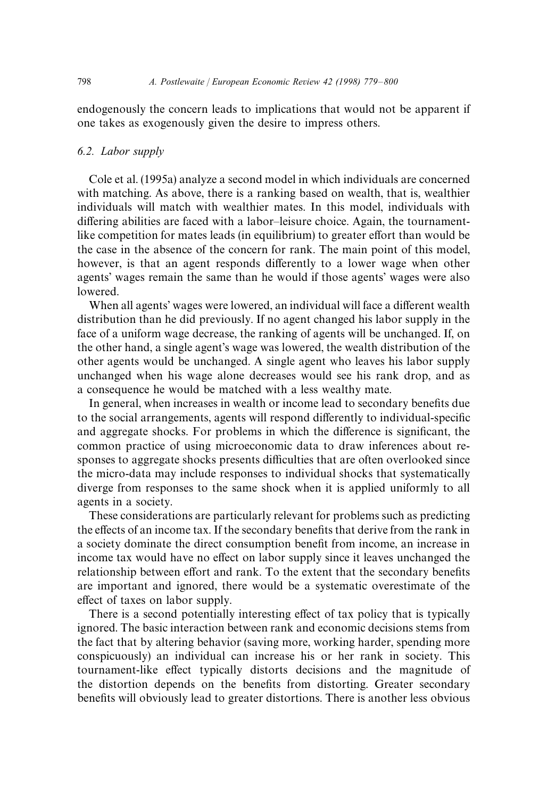endogenously the concern leads to implications that would not be apparent if one takes as exogenously given the desire to impress others.

# *6.2. Labor supply*

Cole et al. (1995a) analyze a second model in which individuals are concerned with matching. As above, there is a ranking based on wealth, that is, wealthier individuals will match with wealthier mates. In this model, individuals with differing abilities are faced with a labor*—*leisure choice. Again, the tournamentlike competition for mates leads (in equilibrium) to greater effort than would be the case in the absence of the concern for rank. The main point of this model, however, is that an agent responds differently to a lower wage when other agents' wages remain the same than he would if those agents' wages were also lowered.

When all agents' wages were lowered, an individual will face a different wealth distribution than he did previously. If no agent changed his labor supply in the face of a uniform wage decrease, the ranking of agents will be unchanged. If, on the other hand, a single agent's wage was lowered, the wealth distribution of the other agents would be unchanged. A single agent who leaves his labor supply unchanged when his wage alone decreases would see his rank drop, and as a consequence he would be matched with a less wealthy mate.

In general, when increases in wealth or income lead to secondary benefits due to the social arrangements, agents will respond differently to individual-specific and aggregate shocks. For problems in which the difference is significant, the common practice of using microeconomic data to draw inferences about responses to aggregate shocks presents difficulties that are often overlooked since the micro-data may include responses to individual shocks that systematically diverge from responses to the same shock when it is applied uniformly to all agents in a society.

These considerations are particularly relevant for problems such as predicting the effects of an income tax. If the secondary benefits that derive from the rank in a society dominate the direct consumption benefit from income, an increase in income tax would have no effect on labor supply since it leaves unchanged the relationship between effort and rank. To the extent that the secondary benefits are important and ignored, there would be a systematic overestimate of the effect of taxes on labor supply.

There is a second potentially interesting effect of tax policy that is typically ignored. The basic interaction between rank and economic decisions stems from the fact that by altering behavior (saving more, working harder, spending more conspicuously) an individual can increase his or her rank in society. This tournament-like effect typically distorts decisions and the magnitude of the distortion depends on the benefits from distorting. Greater secondary benefits will obviously lead to greater distortions. There is another less obvious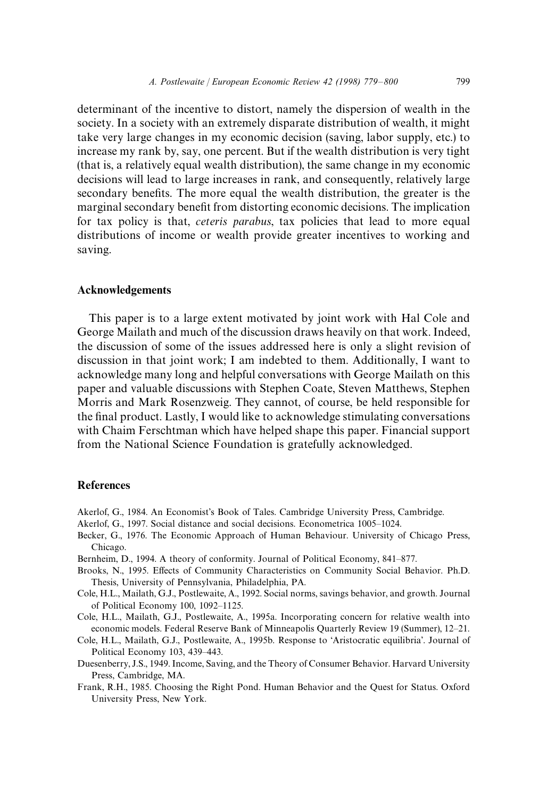determinant of the incentive to distort, namely the dispersion of wealth in the society. In a society with an extremely disparate distribution of wealth, it might take very large changes in my economic decision (saving, labor supply, etc.) to increase my rank by, say, one percent. But if the wealth distribution is very tight (that is, a relatively equal wealth distribution), the same change in my economic decisions will lead to large increases in rank, and consequently, relatively large secondary benefits. The more equal the wealth distribution, the greater is the marginal secondary benefit from distorting economic decisions. The implication for tax policy is that, *ceteris parabus*, tax policies that lead to more equal distributions of income or wealth provide greater incentives to working and saving.

#### Acknowledgements

This paper is to a large extent motivated by joint work with Hal Cole and George Mailath and much of the discussion draws heavily on that work. Indeed, the discussion of some of the issues addressed here is only a slight revision of discussion in that joint work; I am indebted to them. Additionally, I want to acknowledge many long and helpful conversations with George Mailath on this paper and valuable discussions with Stephen Coate, Steven Matthews, Stephen Morris and Mark Rosenzweig. They cannot, of course, be held responsible for the final product. Lastly, I would like to acknowledge stimulating conversations with Chaim Ferschtman which have helped shape this paper. Financial support from the National Science Foundation is gratefully acknowledged.

## References

- Akerlof, G., 1984. An Economist's Book of Tales. Cambridge University Press, Cambridge.
- Akerlof, G., 1997. Social distance and social decisions. Econometrica 1005*—*1024.
- Becker, G., 1976. The Economic Approach of Human Behaviour. University of Chicago Press, Chicago.
- Bernheim, D., 1994. A theory of conformity. Journal of Political Economy, 841*—*877.
- Brooks, N., 1995. Effects of Community Characteristics on Community Social Behavior. Ph.D. Thesis, University of Pennsylvania, Philadelphia, PA.
- Cole, H.L., Mailath, G.J., Postlewaite, A., 1992. Social norms, savings behavior, and growth. Journal of Political Economy 100, 1092*—*1125.
- Cole, H.L., Mailath, G.J., Postlewaite, A., 1995a. Incorporating concern for relative wealth into economic models. Federal Reserve Bank of Minneapolis Quarterly Review 19 (Summer), 12*—*21.
- Cole, H.L., Mailath, G.J., Postlewaite, A., 1995b. Response to 'Aristocratic equilibria'. Journal of Political Economy 103, 439*—*443.
- Duesenberry, J.S., 1949. Income, Saving, and the Theory of Consumer Behavior. Harvard University Press, Cambridge, MA.
- Frank, R.H., 1985. Choosing the Right Pond. Human Behavior and the Quest for Status. Oxford University Press, New York.